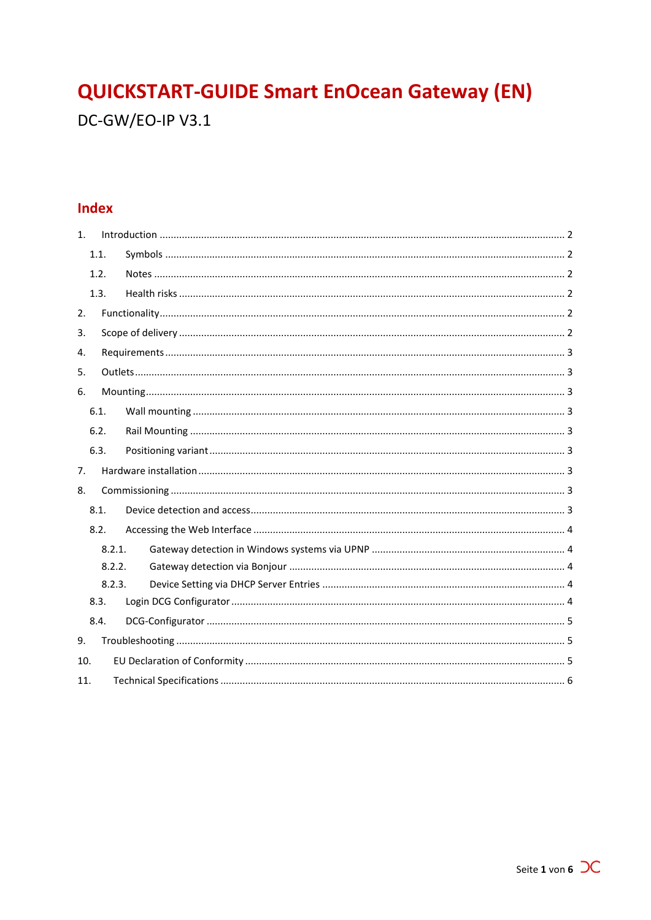# **QUICKSTART-GUIDE Smart EnOcean Gateway (EN)**

DC-GW/EO-IP V3.1

## **Index**

| 1.  |        |        |  |  |  |  |
|-----|--------|--------|--|--|--|--|
|     | 1.1.   |        |  |  |  |  |
|     | 1.2.   |        |  |  |  |  |
|     | 1.3.   |        |  |  |  |  |
| 2.  |        |        |  |  |  |  |
|     | 3.     |        |  |  |  |  |
|     | 4.     |        |  |  |  |  |
| 5.  |        |        |  |  |  |  |
| 6.  |        |        |  |  |  |  |
|     | 6.1.   |        |  |  |  |  |
|     | 6.2.   |        |  |  |  |  |
|     | 6.3.   |        |  |  |  |  |
| 7.  |        |        |  |  |  |  |
| 8.  |        |        |  |  |  |  |
|     | 8.1.   |        |  |  |  |  |
|     | 8.2.   |        |  |  |  |  |
|     |        | 8.2.1. |  |  |  |  |
|     | 8.2.2. |        |  |  |  |  |
|     |        | 8.2.3. |  |  |  |  |
|     | 8.3.   |        |  |  |  |  |
|     | 8.4.   |        |  |  |  |  |
| 9.  |        |        |  |  |  |  |
| 10. |        |        |  |  |  |  |
| 11. |        |        |  |  |  |  |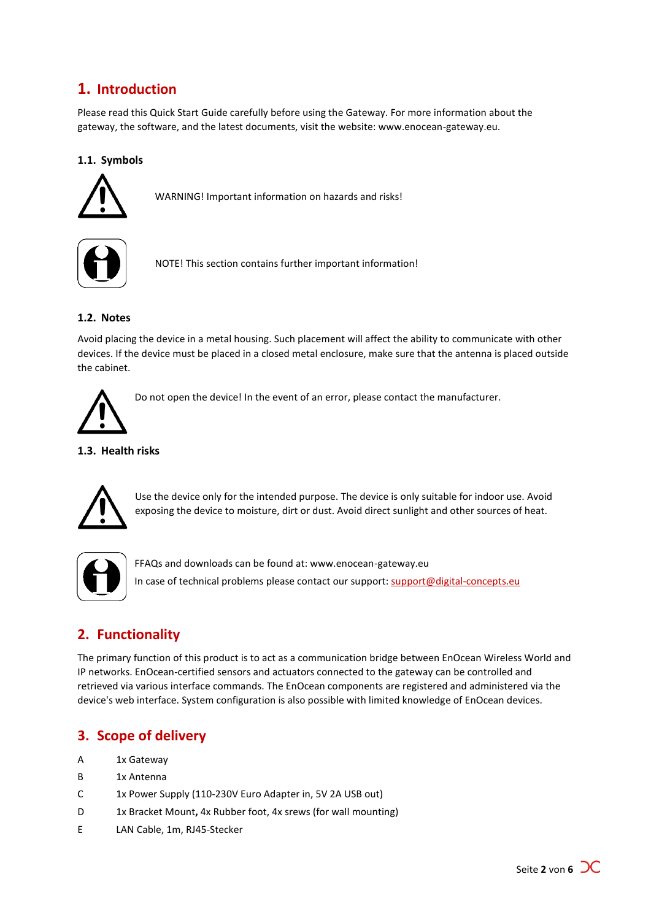## <span id="page-1-0"></span>**1. Introduction**

Please read this Quick Start Guide carefully before using the Gateway. For more information about the gateway, the software, and the latest documents, visit the website: www.enocean-gateway.eu.

## <span id="page-1-1"></span>**1.1. Symbols**



WARNING! Important information on hazards and risks!



NOTE! This section contains further important information!

## <span id="page-1-2"></span>**1.2. Notes**

Avoid placing the device in a metal housing. Such placement will affect the ability to communicate with other devices. If the device must be placed in a closed metal enclosure, make sure that the antenna is placed outside the cabinet.



Do not open the device! In the event of an error, please contact the manufacturer.

### <span id="page-1-3"></span>**1.3. Health risks**



Use the device only for the intended purpose. The device is only suitable for indoor use. Avoid exposing the device to moisture, dirt or dust. Avoid direct sunlight and other sources of heat.



FFAQs and downloads can be found at: www.enocean-gateway.eu In case of technical problems please contact our support: [support@digital-concepts.eu](mailto:support@digital-concepts.eu)

## <span id="page-1-4"></span>**2. Functionality**

The primary function of this product is to act as a communication bridge between EnOcean Wireless World and IP networks. EnOcean-certified sensors and actuators connected to the gateway can be controlled and retrieved via various interface commands. The EnOcean components are registered and administered via the device's web interface. System configuration is also possible with limited knowledge of EnOcean devices.

## <span id="page-1-5"></span>**3. Scope of delivery**

- A 1x Gateway
- B 1x Antenna
- C 1x Power Supply (110-230V Euro Adapter in, 5V 2A USB out)
- D 1x Bracket Mount**,** 4x Rubber foot, 4x srews (for wall mounting)
- E LAN Cable, 1m, RJ45-Stecker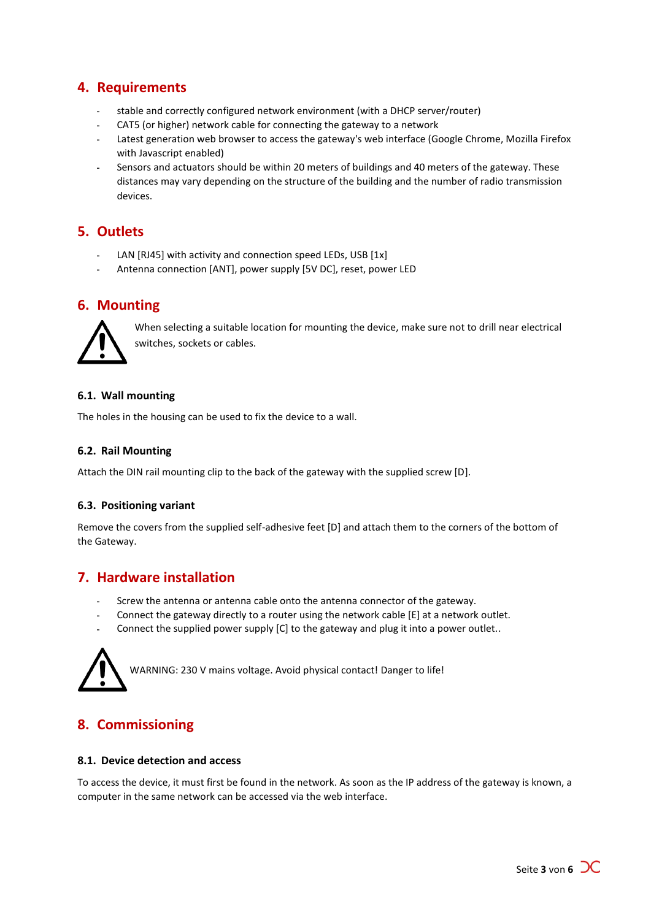## <span id="page-2-0"></span>**4. Requirements**

- stable and correctly configured network environment (with a DHCP server/router)
- CAT5 (or higher) network cable for connecting the gateway to a network
- Latest generation web browser to access the gateway's web interface (Google Chrome, Mozilla Firefox with Javascript enabled)
- Sensors and actuators should be within 20 meters of buildings and 40 meters of the gateway. These distances may vary depending on the structure of the building and the number of radio transmission devices.

## <span id="page-2-1"></span>**5. Outlets**

- LAN [RJ45] with activity and connection speed LEDs, USB [1x]
- Antenna connection [ANT], power supply [5V DC], reset, power LED

## <span id="page-2-2"></span>**6. Mounting**



When selecting a suitable location for mounting the device, make sure not to drill near electrical switches, sockets or cables.

### <span id="page-2-3"></span>**6.1. Wall mounting**

<span id="page-2-4"></span>The holes in the housing can be used to fix the device to a wall.

#### **6.2. Rail Mounting**

<span id="page-2-5"></span>Attach the DIN rail mounting clip to the back of the gateway with the supplied screw [D].

### **6.3. Positioning variant**

Remove the covers from the supplied self-adhesive feet [D] and attach them to the corners of the bottom of the Gateway.

## <span id="page-2-6"></span>**7. Hardware installation**

- Screw the antenna or antenna cable onto the antenna connector of the gateway.
- Connect the gateway directly to a router using the network cable [E] at a network outlet.  $\mathbf{r}$
- Connect the supplied power supply [C] to the gateway and plug it into a power outlet..



## <span id="page-2-7"></span>**8. Commissioning**

#### <span id="page-2-8"></span>**8.1. Device detection and access**

To access the device, it must first be found in the network. As soon as the IP address of the gateway is known, a computer in the same network can be accessed via the web interface.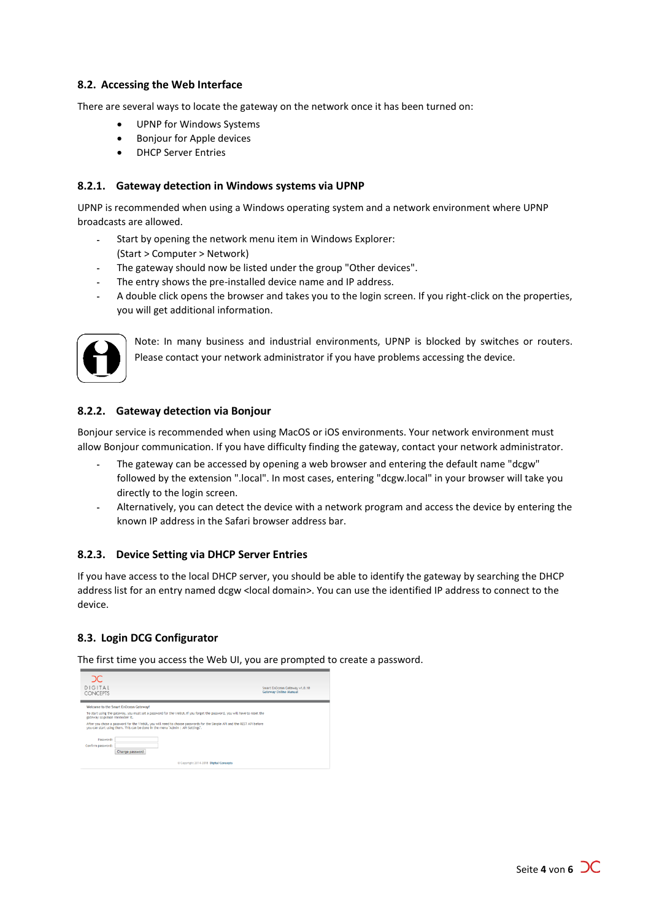### <span id="page-3-0"></span>**8.2. Accessing the Web Interface**

There are several ways to locate the gateway on the network once it has been turned on:

- UPNP for Windows Systems
- **•** Bonjour for Apple devices
- **DHCP Server Entries**

#### <span id="page-3-1"></span>**8.2.1. Gateway detection in Windows systems via UPNP**

UPNP is recommended when using a Windows operating system and a network environment where UPNP broadcasts are allowed.

- Start by opening the network menu item in Windows Explorer: (Start > Computer > Network)
- The gateway should now be listed under the group "Other devices".
- The entry shows the pre-installed device name and IP address.
- A double click opens the browser and takes you to the login screen. If you right-click on the properties, you will get additional information.



Note: In many business and industrial environments, UPNP is blocked by switches or routers. Please contact your network administrator if you have problems accessing the device.

#### <span id="page-3-2"></span>**8.2.2. Gateway detection via Bonjour**

Bonjour service is recommended when using MacOS or iOS environments. Your network environment must allow Bonjour communication. If you have difficulty finding the gateway, contact your network administrator.

- The gateway can be accessed by opening a web browser and entering the default name "dcgw" followed by the extension ".local". In most cases, entering "dcgw.local" in your browser will take you directly to the login screen.
- Alternatively, you can detect the device with a network program and access the device by entering the known IP address in the Safari browser address bar.

#### <span id="page-3-3"></span>**8.2.3. Device Setting via DHCP Server Entries**

If you have access to the local DHCP server, you should be able to identify the gateway by searching the DHCP address list for an entry named dcgw < local domain>. You can use the identified IP address to connect to the device.

#### <span id="page-3-4"></span>**8.3. Login DCG Configurator**

The first time you access the Web UI, you are prompted to create a password.

| DС<br><b>DIGITAL</b><br><b>CONCEPTS</b>                                                                                                                                                                                                                                                                                                                                                                          | Smart EnOcean Gateway v1.0.10<br><b>Gateway Online Manual</b> |  |  |  |  |  |                   |  |
|------------------------------------------------------------------------------------------------------------------------------------------------------------------------------------------------------------------------------------------------------------------------------------------------------------------------------------------------------------------------------------------------------------------|---------------------------------------------------------------|--|--|--|--|--|-------------------|--|
| Welcome to the Smart EnOcean Gateway!<br>To start using the gateway, you must set a password for the WebUI. If you forget the password, you will have to reset the<br>gateway so please remember it.<br>After you chose a password for the WebUI, you will need to choose passwords for the Simple API and the REST API before<br>you can start using them. This can be done in the menu "Admin   API Settings". |                                                               |  |  |  |  |  |                   |  |
|                                                                                                                                                                                                                                                                                                                                                                                                                  |                                                               |  |  |  |  |  | Password:         |  |
|                                                                                                                                                                                                                                                                                                                                                                                                                  |                                                               |  |  |  |  |  | Confirm password: |  |
| Change password                                                                                                                                                                                                                                                                                                                                                                                                  |                                                               |  |  |  |  |  |                   |  |
| Copyright 2014-2018 Digital Concepts                                                                                                                                                                                                                                                                                                                                                                             |                                                               |  |  |  |  |  |                   |  |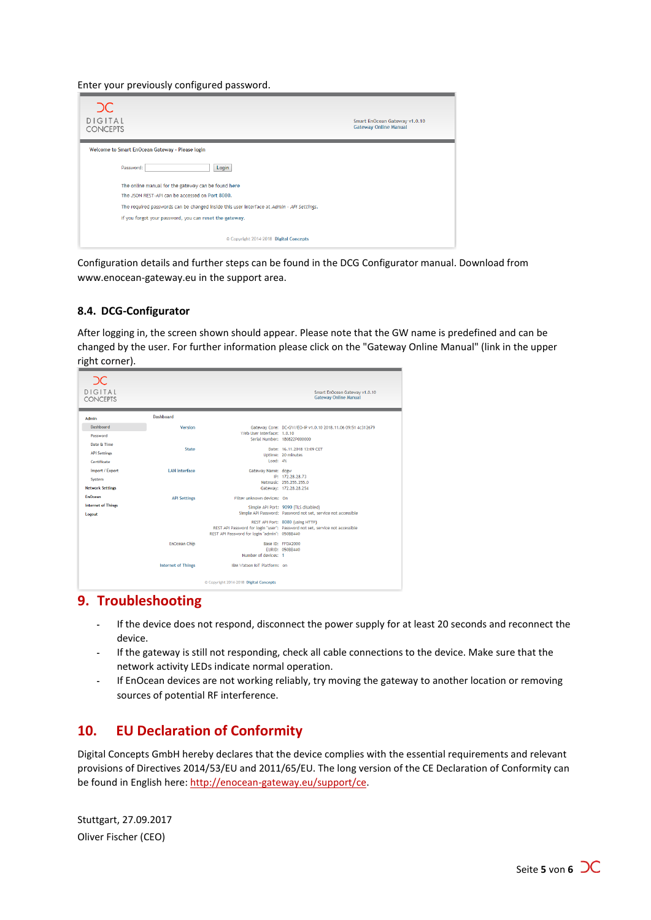Enter your previously configured password.



Configuration details and further steps can be found in the DCG Configurator manual. Download from www.enocean-gateway.eu in the support area.

### <span id="page-4-0"></span>**8.4. DCG-Configurator**

After logging in, the screen shown should appear. Please note that the GW name is predefined and can be changed by the user. For further information please click on the "Gateway Online Manual" (link in the upper right corner).

| DC<br><b>DIGITAL</b><br><b>CONCEPTS</b>              |                           |                                               | Smart EnOcean Gateway v1.0.10<br><b>Gateway Online Manual</b>                                                    |
|------------------------------------------------------|---------------------------|-----------------------------------------------|------------------------------------------------------------------------------------------------------------------|
| <b>Admin</b>                                         | <b>Dashboard</b>          |                                               |                                                                                                                  |
| Dashboard                                            | Version                   |                                               | Gateway Core: DC-GW/EO-IP v1.0.10 2018.11.06 09:51 4c312679                                                      |
| Password                                             |                           | Web User Interface: 1.0.10                    | Serial Number: 180822P000000                                                                                     |
| Date & Time<br><b>API Settings</b><br>Certificate    | State                     | Load: $4%$                                    | Date: 16.11.2018 13:09 CET<br>Uptime: 20 minutes                                                                 |
| Import / Export<br>System<br><b>Network Settings</b> | <b>LAN</b> Interface      | Gateway Name: dcgw                            | IP: 172.28.28.73<br>Netmask: 255.255.255.0<br>Gateway: 172.28.28.254                                             |
| <b>EnOcean</b>                                       | <b>API Settings</b>       | Filter unknown devices: On                    |                                                                                                                  |
| <b>Internet of Things</b><br>Logout                  |                           |                                               | Simple API Port: 9090 (TLS disabled)<br>Simple API Password: Password not set, service not accessible            |
|                                                      |                           | REST API Password for login "admin": 050BB440 | REST API Port: 8080 (using HTTP)<br>REST API Password for login "user": Password not set, service not accessible |
|                                                      | EnOcean Chip              | Number of devices: 1                          | Base ID: FEDA2000<br>FURID: 050BR440                                                                             |
|                                                      | <b>Internet of Things</b> | IBM Watson IoT Platform: on                   |                                                                                                                  |
|                                                      |                           | Copyright 2014-2018 Digital Concepts          |                                                                                                                  |

## <span id="page-4-1"></span>**9. Troubleshooting**

- If the device does not respond, disconnect the power supply for at least 20 seconds and reconnect the device.
- $\overline{a}$ If the gateway is still not responding, check all cable connections to the device. Make sure that the network activity LEDs indicate normal operation.
- If EnOcean devices are not working reliably, try moving the gateway to another location or removing sources of potential RF interference.

## <span id="page-4-2"></span>**10. EU Declaration of Conformity**

Digital Concepts GmbH hereby declares that the device complies with the essential requirements and relevant provisions of Directives 2014/53/EU and 2011/65/EU. The long version of the CE Declaration of Conformity can be found in English here: [http://enocean-gateway.eu/support/ce.](http://enocean-gateway.eu/support/ce)

Stuttgart, 27.09.2017 Oliver Fischer (CEO)